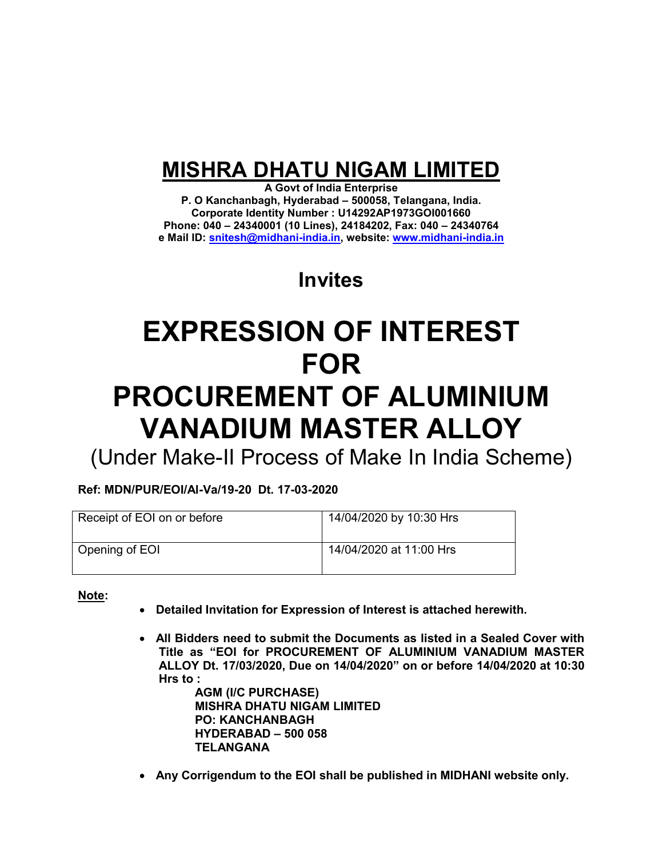## **MISHRA DHATU NIGAM LIMITED**

**A Govt of India Enterprise P. O Kanchanbagh, Hyderabad – 500058, Telangana, India. Corporate Identity Number : U14292AP1973GOI001660 Phone: 040 – 24340001 (10 Lines), 24184202, Fax: 040 – 24340764 e Mail ID: [snitesh@midhani-india.in,](mailto:snitesh@midhani-india.in) website: [www.midhani-india.in](http://www.midhani-india.in/)**

## **Invites**

# **EXPRESSION OF INTEREST FOR PROCUREMENT OF ALUMINIUM VANADIUM MASTER ALLOY**

(Under Make-II Process of Make In India Scheme)

**Ref: MDN/PUR/EOI/Al-Va/19-20 Dt. 17-03-2020** 

| Receipt of EOI on or before | 14/04/2020 by 10:30 Hrs |
|-----------------------------|-------------------------|
| Opening of EOI              | 14/04/2020 at 11:00 Hrs |

**Note:** 

- **Detailed Invitation for Expression of Interest is attached herewith.**
- **All Bidders need to submit the Documents as listed in a Sealed Cover with Title as "EOI for PROCUREMENT OF ALUMINIUM VANADIUM MASTER ALLOY Dt. 17/03/2020, Due on 14/04/2020" on or before 14/04/2020 at 10:30 Hrs to :**

 **AGM (I/C PURCHASE) MISHRA DHATU NIGAM LIMITED PO: KANCHANBAGH HYDERABAD – 500 058 TELANGANA** 

**Any Corrigendum to the EOI shall be published in MIDHANI website only.**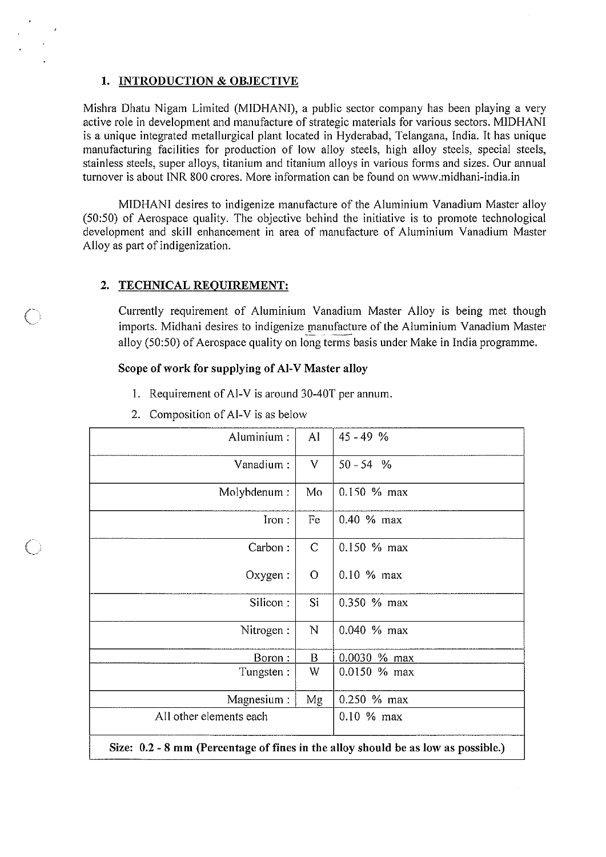#### 1. INTRODUCTION & OBJECTIVE

Mishra Dhatu Nigam Limited (MIDHANI), a public sector company has been playing a very active role in development and manufacture of strategic materials for various sectors. MIDHANI is a unique integrated metallurgical plant located in Hyderabad, Telangana, India. It has unique manufacturing facilities for production of low alloy steels, high alloy steels, special steels, stainless steels, super alloys, titanium and titanium alloys in various forms and sizes. Our annual turnover is about INR 800 crores. More information can be found on www.midhani-india.in

MIDHANI desires to indigenize manufacture of the Aluminium Vanadium Master alloy (50:50) of Aerospace quality. The objective behind the initiative is to promote technological development and skill enhancement in area of manufacture of Aluminium Vanadium Master Alloy as part of indigenization.

#### $\overline{2}$ . **TECHNICAL REQUIREMENT:**

Currently requirement of Aluminium Vanadium Master Alloy is being met though imports. Midhani desires to indigenize manufacture of the Aluminium Vanadium Master alloy (50:50) of Aerospace quality on long terms basis under Make in India programme.

#### Scope of work for supplying of Al-V Master alloy

- 1. Requirement of Al-V is around 30-40T per annum.
- 2. Composition of Al-V is as below

| Aluminium:                                                                        | AI           | $45 - 49$ %     |  |
|-----------------------------------------------------------------------------------|--------------|-----------------|--|
| Vanadium:                                                                         | V            | $50 - 54$ %     |  |
| Molybdenum:                                                                       | Mo           | $0.150 \%$ max  |  |
| $Iron$ :                                                                          | Fe           | 0.40 % max      |  |
| Carbon:                                                                           | $\mathsf{C}$ | 0.150 % max     |  |
| Oxygen:                                                                           | $\mathbf O$  | $0.10 \%$ max   |  |
| Silicon:                                                                          | Si           | 0.350 % max     |  |
| Nitrogen:                                                                         | N            | 0.040 % max     |  |
| Boron:                                                                            | B            | 0.0030 % max    |  |
| Tungsten:                                                                         | W            | $0.0150 \%$ max |  |
| Magnesium :                                                                       | Mg           | 0.250 % max     |  |
| All other elements each                                                           |              | 0.10 % max      |  |
| Size: 0.2 - 8 mm (Percentage of fines in the alloy should be as low as possible.) |              |                 |  |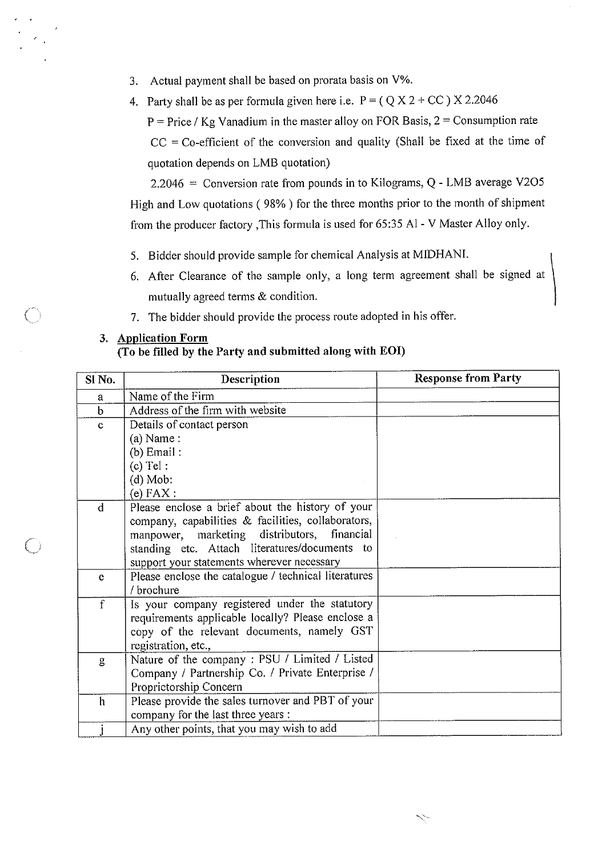- Actual payment shall be based on prorata basis on V%. 3.
- 4. Party shall be as per formula given here i.e.  $P = (Q X 2 + CC) X 2.2046$  $P = Price / Kg$  Vanadium in the master alloy on FOR Basis,  $2 =$  Consumption rate  $CC = Co\text{-efficient of the conversion and quality (Shall be fixed at the time of})$ quotation depends on LMB quotation)

2.2046 = Conversion rate from pounds in to Kilograms, Q - LMB average V2O5 High and Low quotations (98%) for the three months prior to the month of shipment from the producer factory , This formula is used for 65:35 Al - V Master Alloy only.

- 5. Bidder should provide sample for chemical Analysis at MIDHANI.
- 6. After Clearance of the sample only, a long term agreement shall be signed at mutually agreed terms & condition.
- 7. The bidder should provide the process route adopted in his offer.

#### 3. Application Form

### (To be filled by the Party and submitted along with EOI)

| SI <sub>No.</sub> | Description                                          | <b>Response from Party</b> |
|-------------------|------------------------------------------------------|----------------------------|
| a                 | Name of the Firm                                     |                            |
| $\mathbf b$       | Address of the firm with website                     |                            |
| $\mathbf{C}$      | Details of contact person                            |                            |
|                   | $(a)$ Name:                                          |                            |
|                   | $(b)$ Email:                                         |                            |
|                   | $(c)$ Tel:                                           |                            |
|                   | $(d)$ Mob:                                           |                            |
|                   | $(e)$ FAX :                                          |                            |
| $\mathbf d$       | Please enclose a brief about the history of your     |                            |
|                   | company, capabilities & facilities, collaborators,   |                            |
|                   | manpower, marketing distributors, financial          |                            |
|                   | standing etc. Attach literatures/documents to        |                            |
|                   | support your statements wherever necessary           |                            |
| e                 | Please enclose the catalogue / technical literatures |                            |
|                   | / brochure                                           |                            |
| f                 | Is your company registered under the statutory       |                            |
|                   | requirements applicable locally? Please enclose a    |                            |
|                   | copy of the relevant documents, namely GST           |                            |
|                   | registration, etc.,                                  |                            |
| g                 | Nature of the company: PSU / Limited / Listed        |                            |
|                   | Company / Partnership Co. / Private Enterprise /     |                            |
|                   | Proprietorship Concern                               |                            |
| h                 | Please provide the sales turnover and PBT of your    |                            |
|                   | company for the last three years :                   |                            |
|                   | Any other points, that you may wish to add           |                            |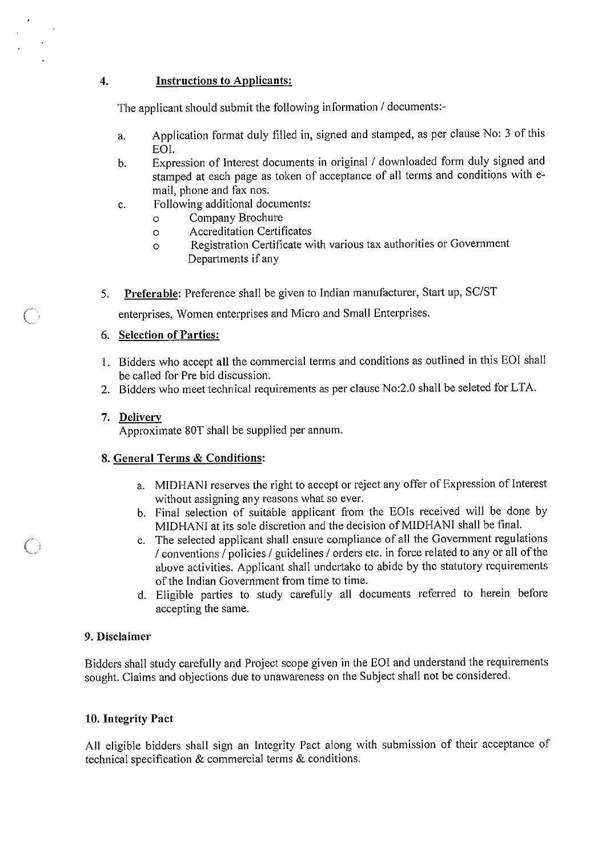#### **Instructions to Applicants:**

The applicant should submit the following information / documents:-

- Application format duly filled in, signed and stamped, as per clause No: 3 of this a. EOI.
- Expression of Interest documents in original / downloaded form duly signed and  $<sub>b</sub>$ .</sub> stamped at each page as token of acceptance of all terms and conditions with email, phone and fax nos.
- Following additional documents: c.
	- Company Brochure  $\circ$
	- **Accreditation Certificates**  $\circ$
	- Registration Certificate with various tax authorities or Government  $\circ$ Departments if any
- **Preferable:** Preference shall be given to Indian manufacturer, Start up, SC/ST 5.

enterprises, Women enterprises and Micro and Small Enterprises.

#### 6. Selection of Parties:

- 1. Bidders who accept all the commercial terms and conditions as outlined in this EOI shall be called for Pre bid discussion.
- 2. Bidders who meet technical requirements as per clause No:2.0 shall be seleted for LTA.

#### 7. Delivery

Approximate 80T shall be supplied per annum.

#### 8. General Terms & Conditions:

- a. MIDHANI reserves the right to accept or reject any offer of Expression of Interest without assigning any reasons what so ever.
- b. Final selection of suitable applicant from the EOIs received will be done by MIDHANI at its sole discretion and the decision of MIDHANI shall be final.
- c. The selected applicant shall ensure compliance of all the Government regulations / conventions / policies / guidelines / orders etc. in force related to any or all of the above activities. Applicant shall undertake to abide by the statutory requirements of the Indian Government from time to time.
- d. Eligible parties to study carefully all documents referred to herein before accepting the same.

#### 9. Disclaimer

Bidders shall study carefully and Project scope given in the EOI and understand the requirements sought. Claims and objections due to unawareness on the Subject shall not be considered.

#### 10. Integrity Pact

All eligible bidders shall sign an Integrity Pact along with submission of their acceptance of technical specification & commercial terms & conditions.

 $\overline{4}$ .

 $\left(\begin{array}{c} \ \ \ \end{array}\right)$ 

 $\bigcirc$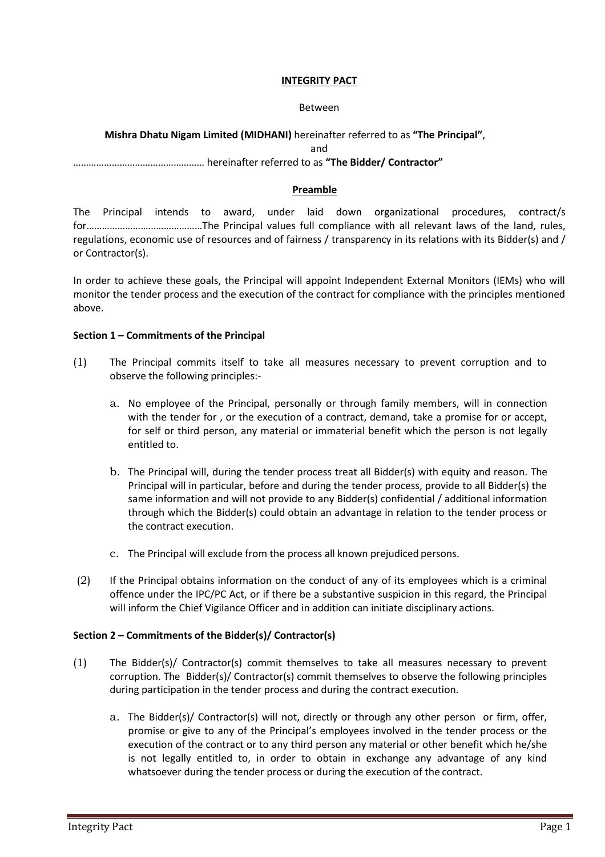#### **INTEGRITY PACT**

#### Between

#### **Mishra Dhatu Nigam Limited (MIDHANI)** hereinafter referred to as **"The Principal"**,

and

#### …………………………………………… hereinafter referred to as **"The Bidder/ Contractor"**

#### **Preamble**

The Principal intends to award, under laid down organizational procedures, contract/s for………………………………………The Principal values full compliance with all relevant laws of the land, rules, regulations, economic use of resources and of fairness / transparency in its relations with its Bidder(s) and / or Contractor(s).

In order to achieve these goals, the Principal will appoint Independent External Monitors (IEMs) who will monitor the tender process and the execution of the contract for compliance with the principles mentioned above.

#### **Section 1 – Commitments of the Principal**

- (1) The Principal commits itself to take all measures necessary to prevent corruption and to observe the following principles:
	- a. No employee of the Principal, personally or through family members, will in connection with the tender for , or the execution of a contract, demand, take a promise for or accept, for self or third person, any material or immaterial benefit which the person is not legally entitled to.
	- b. The Principal will, during the tender process treat all Bidder(s) with equity and reason. The Principal will in particular, before and during the tender process, provide to all Bidder(s) the same information and will not provide to any Bidder(s) confidential / additional information through which the Bidder(s) could obtain an advantage in relation to the tender process or the contract execution.
	- c. The Principal will exclude from the process all known prejudiced persons.
- (2) If the Principal obtains information on the conduct of any of its employees which is a criminal offence under the IPC/PC Act, or if there be a substantive suspicion in this regard, the Principal will inform the Chief Vigilance Officer and in addition can initiate disciplinary actions.

#### **Section 2 – Commitments of the Bidder(s)/ Contractor(s)**

- (1) The Bidder(s)/ Contractor(s) commit themselves to take all measures necessary to prevent corruption. The Bidder(s)/ Contractor(s) commit themselves to observe the following principles during participation in the tender process and during the contract execution.
	- a. The Bidder(s)/ Contractor(s) will not, directly or through any other person or firm, offer, promise or give to any of the Principal's employees involved in the tender process or the execution of the contract or to any third person any material or other benefit which he/she is not legally entitled to, in order to obtain in exchange any advantage of any kind whatsoever during the tender process or during the execution of the contract.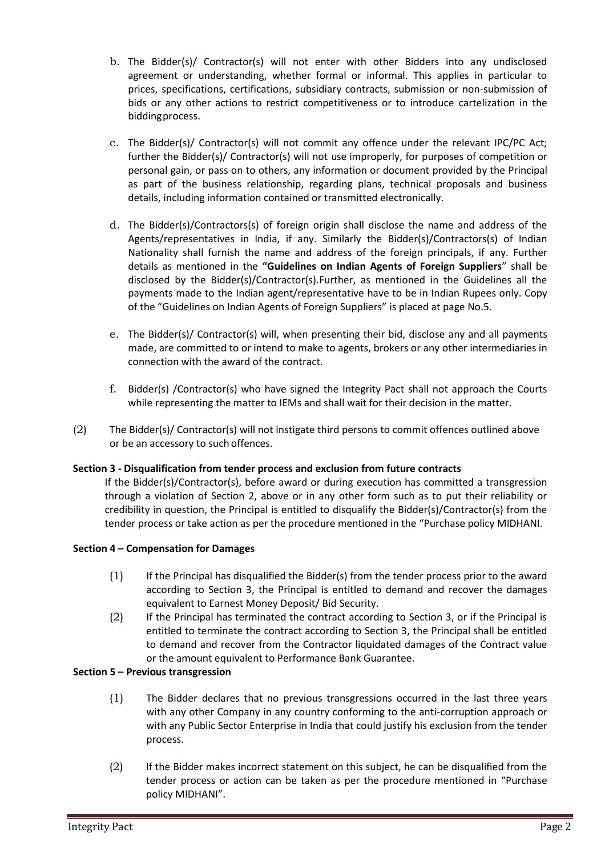- b. The Bidder(s)/ Contractor(s) will not enter with other Bidders into any undisclosed agreement or understanding, whether formal or informal. This applies in particular to prices, specifications, certifications, subsidiary contracts, submission or non-submission of bids or any other actions to restrict competitiveness or to introduce cartelization in the bidding process.
- c. The Bidder(s)/ Contractor(s) will not commit any offence under the relevant IPC/PC Act; further the Bidder(s)/ Contractor(s) will not use improperly, for purposes of competition or personal gain, or pass on to others, any information or document provided by the Principal as part of the business relationship, regarding plans, technical proposals and business details, including information contained or transmitted electronically.
- d. The Bidder(s)/Contractors(s) of foreign origin shall disclose the name and address of the Agents/representatives in India, if any. Similarly the Bidder(s)/Contractors(s) of Indian Nationality shall furnish the name and address of the foreign principals, if any. Further details as mentioned in the **"Guidelines on Indian Agents of Foreign Suppliers**" shall be disclosed by the Bidder(s)/Contractor(s).Further, as mentioned in the Guidelines all the payments made to the Indian agent/representative have to be in Indian Rupees only. Copy of the "Guidelines on Indian Agents of Foreign Suppliers" is placed at page No.5.
- e. The Bidder(s)/ Contractor(s) will, when presenting their bid, disclose any and all payments made, are committed to or intend to make to agents, brokers or any other intermediaries in connection with the award of the contract.
- f. Bidder(s) /Contractor(s) who have signed the Integrity Pact shall not approach the Courts while representing the matter to IEMs and shall wait for their decision in the matter.
- (2) The Bidder(s)/ Contractor(s) will not instigate third persons to commit offences outlined above or be an accessory to such offences.

#### **Section 3 - Disqualification from tender process and exclusion from future contracts**

If the Bidder(s)/Contractor(s), before award or during execution has committed a transgression through a violation of Section 2, above or in any other form such as to put their reliability or credibility in question, the Principal is entitled to disqualify the Bidder(s)/Contractor(s) from the tender process or take action as per the procedure mentioned in the "Purchase policy MIDHANI.

#### **Section 4 – Compensation for Damages**

- (1) If the Principal has disqualified the Bidder(s) from the tender process prior to the award according to Section 3, the Principal is entitled to demand and recover the damages equivalent to Earnest Money Deposit/ Bid Security.
- (2) If the Principal has terminated the contract according to Section 3, or if the Principal is entitled to terminate the contract according to Section 3, the Principal shall be entitled to demand and recover from the Contractor liquidated damages of the Contract value or the amount equivalent to Performance Bank Guarantee.

#### **Section 5 – Previous transgression**

- (1) The Bidder declares that no previous transgressions occurred in the last three years with any other Company in any country conforming to the anti-corruption approach or with any Public Sector Enterprise in India that could justify his exclusion from the tender process.
- (2) If the Bidder makes incorrect statement on this subject, he can be disqualified from the tender process or action can be taken as per the procedure mentioned in "Purchase policy MIDHANI".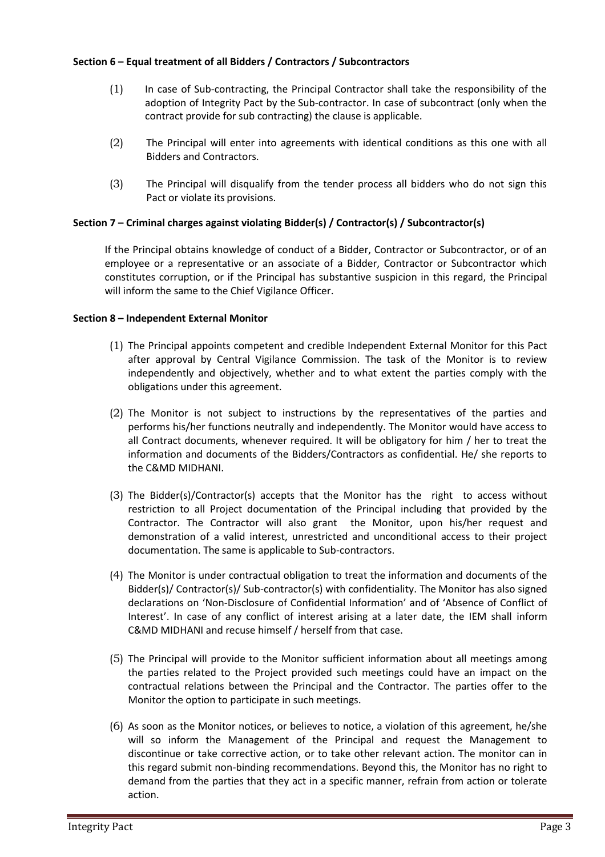#### **Section 6 – Equal treatment of all Bidders / Contractors / Subcontractors**

- (1) In case of Sub-contracting, the Principal Contractor shall take the responsibility of the adoption of Integrity Pact by the Sub-contractor. In case of subcontract (only when the contract provide for sub contracting) the clause is applicable.
- (2) The Principal will enter into agreements with identical conditions as this one with all Bidders and Contractors.
- (3) The Principal will disqualify from the tender process all bidders who do not sign this Pact or violate its provisions.

#### **Section 7 – Criminal charges against violating Bidder(s) / Contractor(s) / Subcontractor(s)**

If the Principal obtains knowledge of conduct of a Bidder, Contractor or Subcontractor, or of an employee or a representative or an associate of a Bidder, Contractor or Subcontractor which constitutes corruption, or if the Principal has substantive suspicion in this regard, the Principal will inform the same to the Chief Vigilance Officer.

#### **Section 8 – Independent External Monitor**

- (1) The Principal appoints competent and credible Independent External Monitor for this Pact after approval by Central Vigilance Commission. The task of the Monitor is to review independently and objectively, whether and to what extent the parties comply with the obligations under this agreement.
- (2) The Monitor is not subject to instructions by the representatives of the parties and performs his/her functions neutrally and independently. The Monitor would have access to all Contract documents, whenever required. It will be obligatory for him / her to treat the information and documents of the Bidders/Contractors as confidential. He/ she reports to the C&MD MIDHANI.
- (3) The Bidder(s)/Contractor(s) accepts that the Monitor has the right to access without restriction to all Project documentation of the Principal including that provided by the Contractor. The Contractor will also grant the Monitor, upon his/her request and demonstration of a valid interest, unrestricted and unconditional access to their project documentation. The same is applicable to Sub-contractors.
- (4) The Monitor is under contractual obligation to treat the information and documents of the Bidder(s)/ Contractor(s)/ Sub-contractor(s) with confidentiality. The Monitor has also signed declarations on 'Non-Disclosure of Confidential Information' and of 'Absence of Conflict of Interest'. In case of any conflict of interest arising at a later date, the IEM shall inform C&MD MIDHANI and recuse himself / herself from that case.
- (5) The Principal will provide to the Monitor sufficient information about all meetings among the parties related to the Project provided such meetings could have an impact on the contractual relations between the Principal and the Contractor. The parties offer to the Monitor the option to participate in such meetings.
- (6) As soon as the Monitor notices, or believes to notice, a violation of this agreement, he/she will so inform the Management of the Principal and request the Management to discontinue or take corrective action, or to take other relevant action. The monitor can in this regard submit non-binding recommendations. Beyond this, the Monitor has no right to demand from the parties that they act in a specific manner, refrain from action or tolerate action.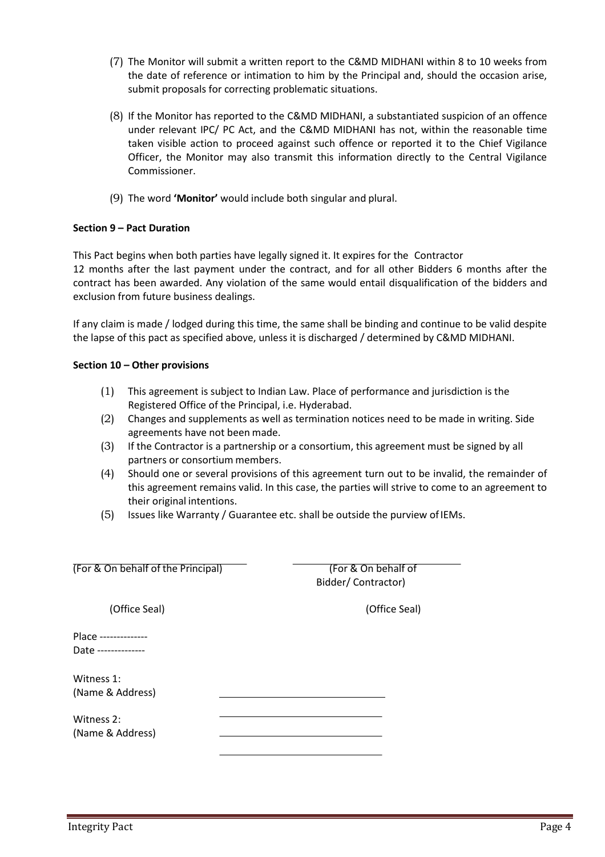- (7) The Monitor will submit a written report to the C&MD MIDHANI within 8 to 10 weeks from the date of reference or intimation to him by the Principal and, should the occasion arise, submit proposals for correcting problematic situations.
- (8) If the Monitor has reported to the C&MD MIDHANI, a substantiated suspicion of an offence under relevant IPC/ PC Act, and the C&MD MIDHANI has not, within the reasonable time taken visible action to proceed against such offence or reported it to the Chief Vigilance Officer, the Monitor may also transmit this information directly to the Central Vigilance Commissioner.
- (9) The word **'Monitor'** would include both singular and plural.

#### **Section 9 – Pact Duration**

This Pact begins when both parties have legally signed it. It expires for the Contractor 12 months after the last payment under the contract, and for all other Bidders 6 months after the contract has been awarded. Any violation of the same would entail disqualification of the bidders and exclusion from future business dealings.

If any claim is made / lodged during this time, the same shall be binding and continue to be valid despite the lapse of this pact as specified above, unless it is discharged / determined by C&MD MIDHANI.

#### **Section 10 – Other provisions**

- (1) This agreement is subject to Indian Law. Place of performance and jurisdiction is the Registered Office of the Principal, i.e. Hyderabad.
- (2) Changes and supplements as well as termination notices need to be made in writing. Side agreements have not been made.
- (3) If the Contractor is a partnership or a consortium, this agreement must be signed by all partners or consortium members.
- (4) Should one or several provisions of this agreement turn out to be invalid, the remainder of this agreement remains valid. In this case, the parties will strive to come to an agreement to their original intentions.
- (5) Issues like Warranty / Guarantee etc. shall be outside the purview of IEMs.

| (For & On behalf of the Principal)          | (For & On behalf<br>Bidder/Contractor) |
|---------------------------------------------|----------------------------------------|
| (Office Seal)                               | (Office Se                             |
| Place --------------<br>Date -------------- |                                        |
| Witness 1:<br>(Name & Address)              |                                        |
| Witness 2:<br>(Name & Address)              |                                        |

(Office Seal) (Office Seal)

(For & On behalf of